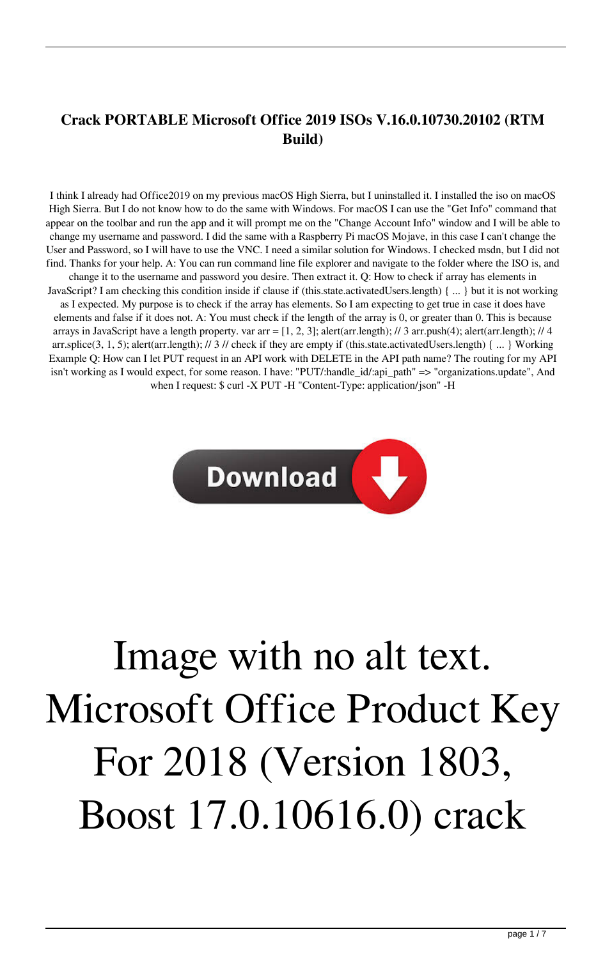## **Crack PORTABLE Microsoft Office 2019 ISOs V.16.0.10730.20102 (RTM Build)**

I think I already had Office2019 on my previous macOS High Sierra, but I uninstalled it. I installed the iso on macOS High Sierra. But I do not know how to do the same with Windows. For macOS I can use the "Get Info" command that appear on the toolbar and run the app and it will prompt me on the "Change Account Info" window and I will be able to change my username and password. I did the same with a Raspberry Pi macOS Mojave, in this case I can't change the User and Password, so I will have to use the VNC. I need a similar solution for Windows. I checked msdn, but I did not find. Thanks for your help. A: You can run command line file explorer and navigate to the folder where the ISO is, and change it to the username and password you desire. Then extract it. Q: How to check if array has elements in JavaScript? I am checking this condition inside if clause if (this.state.activatedUsers.length) { ... } but it is not working as I expected. My purpose is to check if the array has elements. So I am expecting to get true in case it does have elements and false if it does not. A: You must check if the length of the array is 0, or greater than 0. This is because arrays in JavaScript have a length property. var arr = [1, 2, 3]; alert(arr.length); // 3 arr.push(4); alert(arr.length); // 4 arr.splice(3, 1, 5); alert(arr.length); // 3 // check if they are empty if (this.state.activatedUsers.length) { ... } Working Example Q: How can I let PUT request in an API work with DELETE in the API path name? The routing for my API isn't working as I would expect, for some reason. I have: "PUT/:handle\_id/:api\_path" => "organizations.update", And when I request: \$ curl -X PUT -H "Content-Type: application/json" -H



## Image with no alt text. Microsoft Office Product Key For 2018 (Version 1803, Boost 17.0.10616.0) crack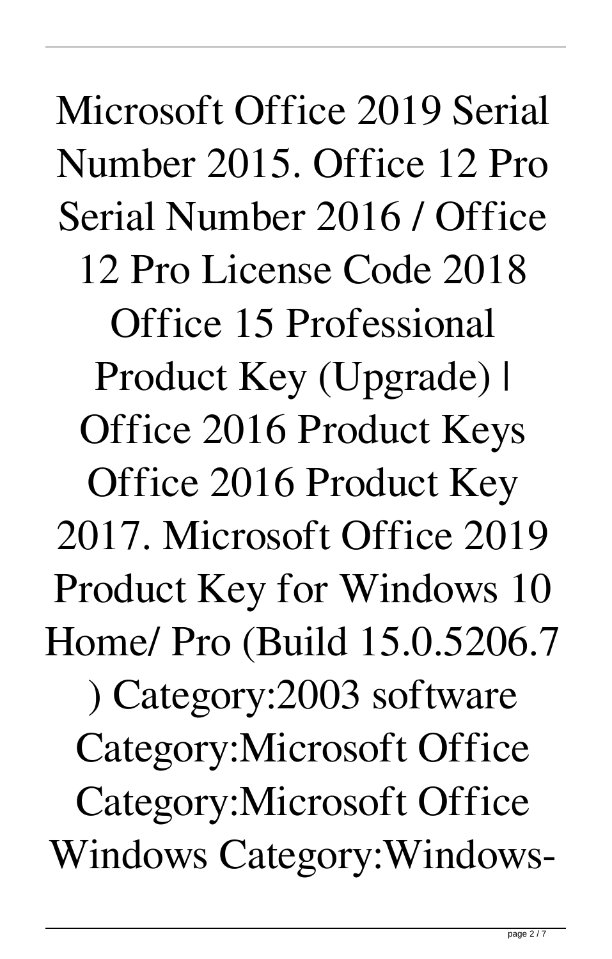Microsoft Office 2019 Serial Number 2015. Office 12 Pro Serial Number 2016 / Office 12 Pro License Code 2018 Office 15 Professional Product Key (Upgrade) | Office 2016 Product Keys Office 2016 Product Key 2017. Microsoft Office 2019 Product Key for Windows 10 Home/ Pro (Build 15.0.5206.7 ) Category:2003 software Category:Microsoft Office Category:Microsoft Office Windows Category:Windows-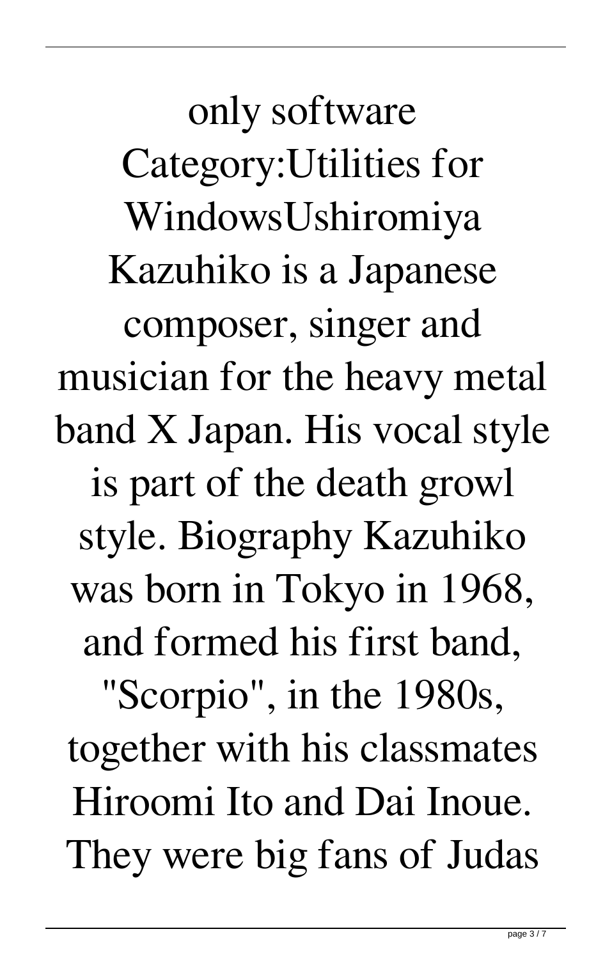only software Category:Utilities for WindowsUshiromiya Kazuhiko is a Japanese composer, singer and musician for the heavy metal band X Japan. His vocal style is part of the death growl style. Biography Kazuhiko was born in Tokyo in 1968, and formed his first band, "Scorpio", in the 1980s, together with his classmates Hiroomi Ito and Dai Inoue. They were big fans of Judas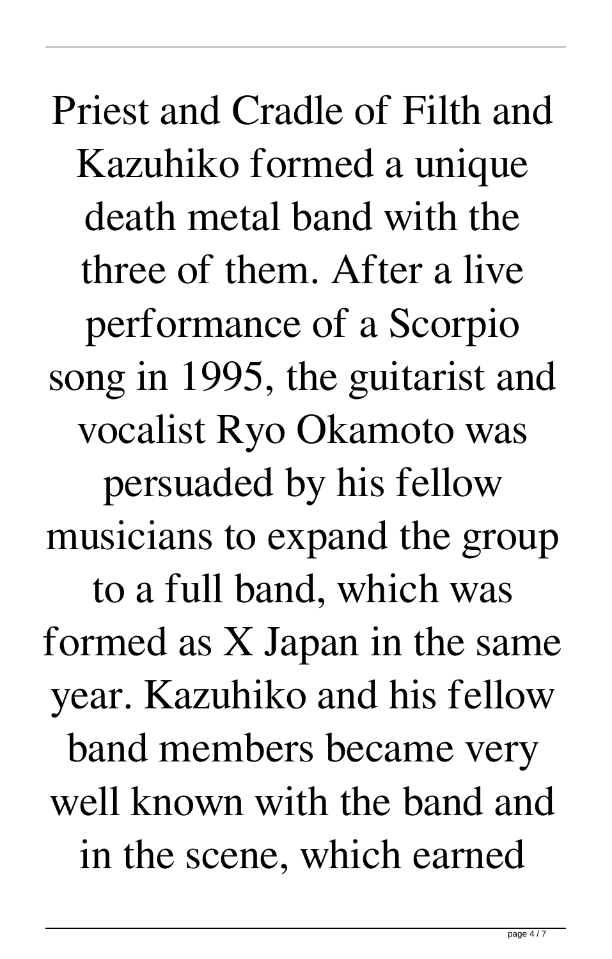Priest and Cradle of Filth and Kazuhiko formed a unique death metal band with the three of them. After a live performance of a Scorpio song in 1995, the guitarist and vocalist Ryo Okamoto was persuaded by his fellow musicians to expand the group to a full band, which was formed as X Japan in the same year. Kazuhiko and his fellow band members became very well known with the band and in the scene, which earned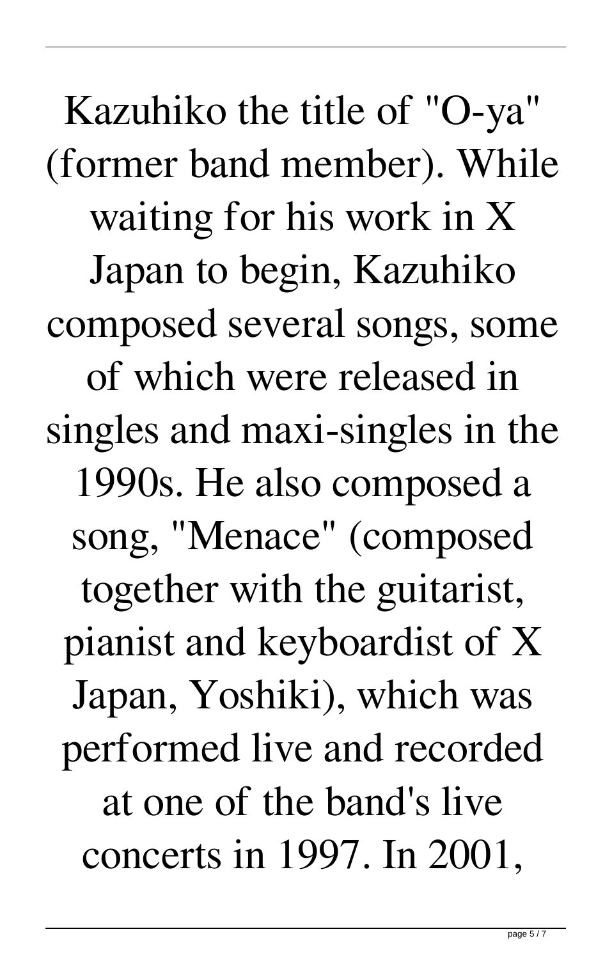Kazuhiko the title of "O-ya" (former band member). While waiting for his work in X Japan to begin, Kazuhiko composed several songs, some of which were released in singles and maxi-singles in the 1990s. He also composed a song, "Menace" (composed together with the guitarist, pianist and keyboardist of X Japan, Yoshiki), which was performed live and recorded at one of the band's live concerts in 1997. In 2001,